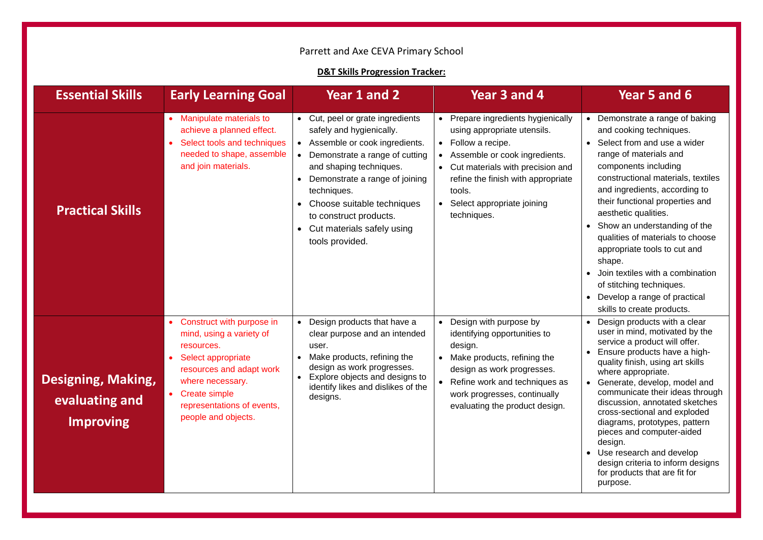## Parrett and Axe CEVA Primary School

## **D&T Skills Progression Tracker:**

| <b>Essential Skills</b>                                  | <b>Early Learning Goal</b>                                                                                                                                                                                             | Year 1 and 2                                                                                                                                                                                                                                                                                                                                                    | Year 3 and 4                                                                                                                                                                                                                                                       | Year 5 and 6                                                                                                                                                                                                                                                                                                                                                                                                                                                                                                                       |
|----------------------------------------------------------|------------------------------------------------------------------------------------------------------------------------------------------------------------------------------------------------------------------------|-----------------------------------------------------------------------------------------------------------------------------------------------------------------------------------------------------------------------------------------------------------------------------------------------------------------------------------------------------------------|--------------------------------------------------------------------------------------------------------------------------------------------------------------------------------------------------------------------------------------------------------------------|------------------------------------------------------------------------------------------------------------------------------------------------------------------------------------------------------------------------------------------------------------------------------------------------------------------------------------------------------------------------------------------------------------------------------------------------------------------------------------------------------------------------------------|
| <b>Practical Skills</b>                                  | • Manipulate materials to<br>achieve a planned effect.<br>Select tools and techniques<br>needed to shape, assemble<br>and join materials.                                                                              | • Cut, peel or grate ingredients<br>safely and hygienically.<br>• Assemble or cook ingredients.<br>Demonstrate a range of cutting<br>$\bullet$<br>and shaping techniques.<br>Demonstrate a range of joining<br>$\bullet$<br>techniques.<br>Choose suitable techniques<br>$\bullet$<br>to construct products.<br>• Cut materials safely using<br>tools provided. | Prepare ingredients hygienically<br>$\bullet$<br>using appropriate utensils.<br>Follow a recipe.<br>Assemble or cook ingredients.<br>Cut materials with precision and<br>refine the finish with appropriate<br>tools.<br>Select appropriate joining<br>techniques. | • Demonstrate a range of baking<br>and cooking techniques.<br>Select from and use a wider<br>range of materials and<br>components including<br>constructional materials, textiles<br>and ingredients, according to<br>their functional properties and<br>aesthetic qualities.<br>Show an understanding of the<br>qualities of materials to choose<br>appropriate tools to cut and<br>shape.<br>• Join textiles with a combination<br>of stitching techniques.<br>• Develop a range of practical<br>skills to create products.      |
| Designing, Making,<br>evaluating and<br><b>Improving</b> | Construct with purpose in<br>mind, using a variety of<br>resources.<br>Select appropriate<br>resources and adapt work<br>where necessary.<br><b>Create simple</b><br>representations of events,<br>people and objects. | Design products that have a<br>$\bullet$<br>clear purpose and an intended<br>user.<br>Make products, refining the<br>$\bullet$<br>design as work progresses.<br>Explore objects and designs to<br>$\bullet$<br>identify likes and dislikes of the<br>designs.                                                                                                   | Design with purpose by<br>identifying opportunities to<br>design.<br>Make products, refining the<br>design as work progresses.<br>Refine work and techniques as<br>work progresses, continually<br>evaluating the product design.                                  | Design products with a clear<br>$\bullet$<br>user in mind, motivated by the<br>service a product will offer.<br>Ensure products have a high-<br>quality finish, using art skills<br>where appropriate.<br>Generate, develop, model and<br>communicate their ideas through<br>discussion, annotated sketches<br>cross-sectional and exploded<br>diagrams, prototypes, pattern<br>pieces and computer-aided<br>design.<br>Use research and develop<br>design criteria to inform designs<br>for products that are fit for<br>purpose. |